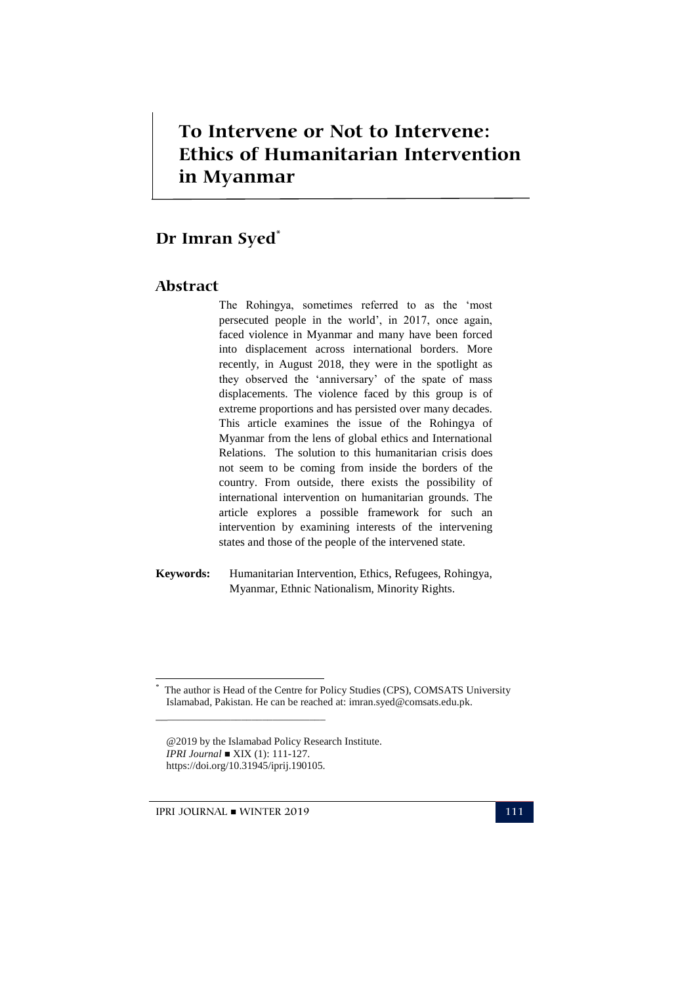## *To Intervene or Not to Intervene:*  **Ethics of Humanitarian Intervention**  *Ethics of Humanitarian Intervention in Myanmar* **To Intervene or Not to Intervene: in Myanmar**

# **Dr Imran Syed\***

#### **Abstract**

The Rohingya, sometimes referred to as the "most persecuted people in the world", in 2017, once again, faced violence in Myanmar and many have been forced into displacement across international borders. More recently, in August 2018, they were in the spotlight as they observed the "anniversary" of the spate of mass displacements. The violence faced by this group is of extreme proportions and has persisted over many decades. This article examines the issue of the Rohingya of Myanmar from the lens of global ethics and International Relations. The solution to this humanitarian crisis does not seem to be coming from inside the borders of the country. From outside, there exists the possibility of international intervention on humanitarian grounds. The article explores a possible framework for such an intervention by examining interests of the intervening states and those of the people of the intervened state.

**Keywords:** Humanitarian Intervention, Ethics, Refugees, Rohingya, Myanmar, Ethnic Nationalism, Minority Rights.

IPRI JOURNAL WINTER 2019 111

\_\_\_\_\_\_\_\_\_\_\_\_\_\_\_\_\_\_\_\_\_\_\_\_\_\_\_\_\_\_\_\_

<u>.</u> \*

The author is Head of the Centre for Policy Studies (CPS), COMSATS University Islamabad, Pakistan. He can be reached at: imran.syed@comsats.edu.pk.

<sup>@2019</sup> by the Islamabad Policy Research Institute. *IPRI Journal* ■ XIX (1): 111-127. https://doi.org/10.31945/iprij.190105.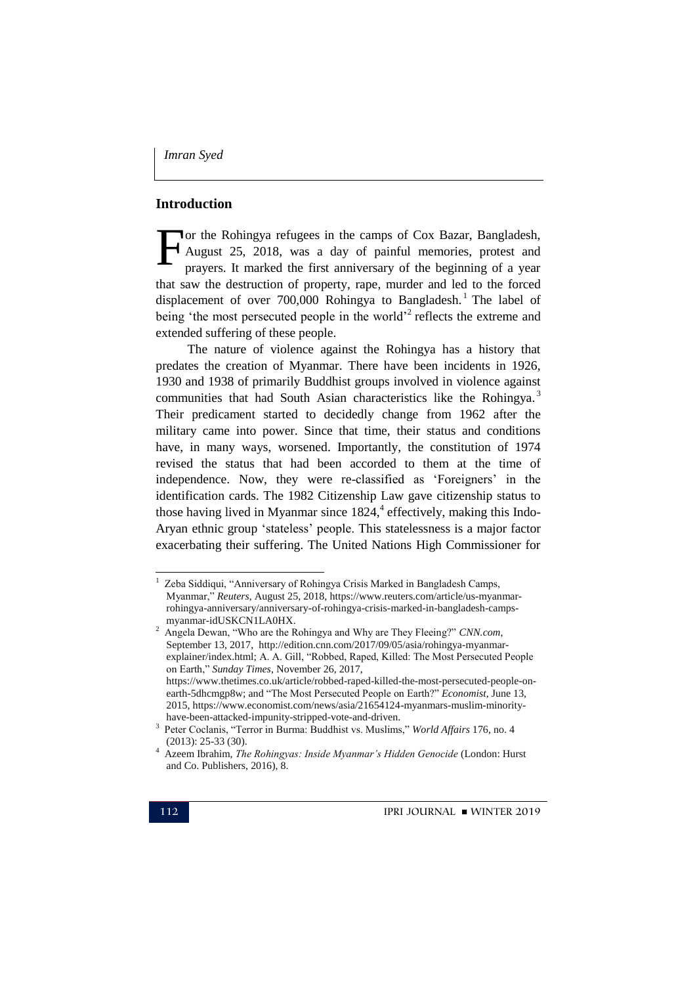### **Introduction**

or the Rohingya refugees in the camps of Cox Bazar, Bangladesh, August 25, 2018, was a day of painful memories, protest and prayers. It marked the first anniversary of the beginning of a year that saw the destruction of property, rape, murder and led to the forced displacement of over 700,000 Rohingya to Bangladesh.<sup>1</sup> The label of being 'the most persecuted people in the world $^2$  reflects the extreme and extended suffering of these people. F

The nature of violence against the Rohingya has a history that predates the creation of Myanmar. There have been incidents in 1926, 1930 and 1938 of primarily Buddhist groups involved in violence against communities that had South Asian characteristics like the Rohingya.<sup>3</sup> Their predicament started to decidedly change from 1962 after the military came into power. Since that time, their status and conditions have, in many ways, worsened. Importantly, the constitution of 1974 revised the status that had been accorded to them at the time of independence. Now, they were re-classified as 'Foreigners' in the identification cards. The 1982 Citizenship Law gave citizenship status to those having lived in Myanmar since 1824,<sup>4</sup> effectively, making this Indo-Aryan ethnic group "stateless" people. This statelessness is a major factor exacerbating their suffering. The United Nations High Commissioner for

<sup>1</sup> Zeba Siddiqui, "Anniversary of Rohingya Crisis Marked in Bangladesh Camps, Myanmar," *Reuters*, August 25, 2018, [https://www.reuters.com/article/us-myanmar](https://www.reuters.com/article/us-myanmar-rohingya-anniversary/anniversary-of-rohingya-crisis-marked-in-bangladesh-camps-myanmar-idUSKCN1LA0HX)[rohingya-anniversary/anniversary-of-rohingya-crisis-marked-in-bangladesh-camps](https://www.reuters.com/article/us-myanmar-rohingya-anniversary/anniversary-of-rohingya-crisis-marked-in-bangladesh-camps-myanmar-idUSKCN1LA0HX)[myanmar-idUSKCN1LA0HX.](https://www.reuters.com/article/us-myanmar-rohingya-anniversary/anniversary-of-rohingya-crisis-marked-in-bangladesh-camps-myanmar-idUSKCN1LA0HX)

<sup>2</sup> Angela Dewan, "Who are the Rohingya and Why are They Fleeing?" *CNN.com*, September 13, 2017, [http://edition.cnn.com/2017/09/05/asia/rohingya-myanmar](http://edition.cnn.com/2017/09/05/asia/rohingya-myanmar-explainer/index.html)[explainer/index.html;](http://edition.cnn.com/2017/09/05/asia/rohingya-myanmar-explainer/index.html) A. A. Gill, "Robbed, Raped, Killed: The Most Persecuted People on Earth," *Sunday Times*, November 26, 2017, [https://www.thetimes.co.uk/article/robbed-raped-killed-the-most-persecuted-people-on](https://www.thetimes.co.uk/article/robbed-raped-killed-the-most-persecuted-people-on-earth-5dhcmgp8w)[earth-5dhcmgp8w;](https://www.thetimes.co.uk/article/robbed-raped-killed-the-most-persecuted-people-on-earth-5dhcmgp8w) and "The Most Persecuted People on Earth?" *Economist*, June 13, 2015[, https://www.economist.com/news/asia/21654124-myanmars-muslim-minority](https://www.economist.com/news/asia/21654124-myanmars-muslim-minority-have-been-attacked-impunity-stripped-vote-and-driven)[have-been-attacked-impunity-stripped-vote-and-driven.](https://www.economist.com/news/asia/21654124-myanmars-muslim-minority-have-been-attacked-impunity-stripped-vote-and-driven)

<sup>3</sup> Peter Coclanis, "Terror in Burma: Buddhist vs. Muslims," *World Affairs* 176, no. 4 (2013): 25-33 (30).

<sup>4</sup> Azeem Ibrahim, *The Rohingyas: Inside Myanmar's Hidden Genocide* (London: Hurst and Co. Publishers, 2016), 8.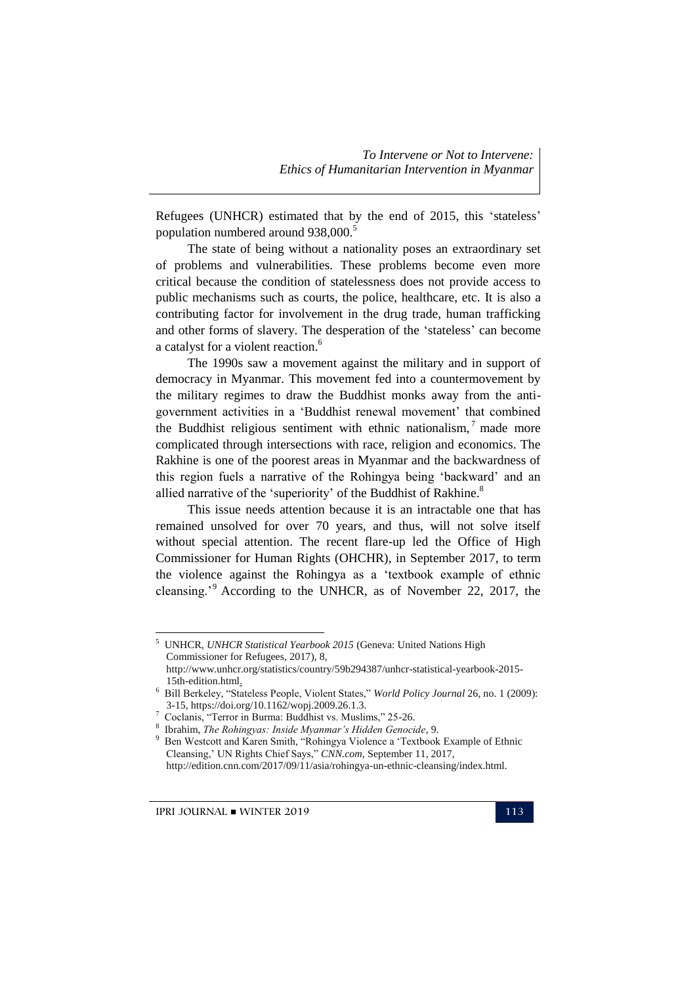Refugees (UNHCR) estimated that by the end of 2015, this "stateless" population numbered around 938,000.<sup>5</sup>

The state of being without a nationality poses an extraordinary set of problems and vulnerabilities. These problems become even more critical because the condition of statelessness does not provide access to public mechanisms such as courts, the police, healthcare, etc. It is also a contributing factor for involvement in the drug trade, human trafficking and other forms of slavery. The desperation of the "stateless" can become a catalyst for a violent reaction.<sup>6</sup>

The 1990s saw a movement against the military and in support of democracy in Myanmar. This movement fed into a countermovement by the military regimes to draw the Buddhist monks away from the antigovernment activities in a "Buddhist renewal movement" that combined the Buddhist religious sentiment with ethnic nationalism, $<sup>7</sup>$  made more</sup> complicated through intersections with race, religion and economics. The Rakhine is one of the poorest areas in Myanmar and the backwardness of this region fuels a narrative of the Rohingya being "backward" and an allied narrative of the 'superiority' of the Buddhist of Rakhine.<sup>8</sup>

This issue needs attention because it is an intractable one that has remained unsolved for over 70 years, and thus, will not solve itself without special attention. The recent flare-up led the Office of High Commissioner for Human Rights (OHCHR), in September 2017, to term the violence against the Rohingya as a "textbook example of ethnic cleansing."<sup>9</sup> According to the UNHCR, as of November 22, 2017, the

<sup>5</sup> UNHCR, *UNHCR Statistical Yearbook 2015* (Geneva: United Nations High Commissioner for Refugees, 2017), 8, http://www.unhcr.org/statistics/country/59b294387/unhcr-statistical-yearbook-2015- 15th-edition.html.

<sup>6</sup> Bill Berkeley, "Stateless People, Violent States," *World Policy Journal* 26, no. 1 (2009): 3-15, https://doi.org/10.1162/wopj.2009.26.1.3.

<sup>7</sup> Coclanis, "Terror in Burma: Buddhist vs. Muslims," 25-26.

<sup>8</sup> Ibrahim, *The Rohingyas: Inside Myanmar's Hidden Genocide*, 9.

<sup>9</sup> Ben Westcott and Karen Smith, "Rohingya Violence a "Textbook Example of Ethnic Cleansing," UN Rights Chief Says," *CNN.com*, September 11, 2017, http://edition.cnn.com/2017/09/11/asia/rohingya-un-ethnic-cleansing/index.html.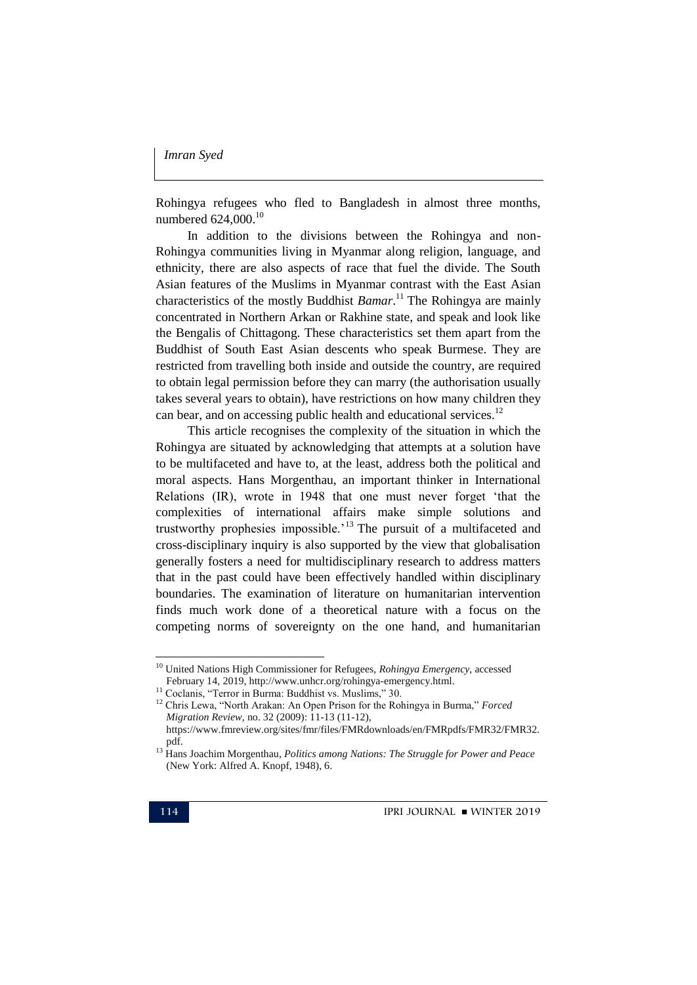Rohingya refugees who fled to Bangladesh in almost three months, numbered 624,000.<sup>10</sup>

In addition to the divisions between the Rohingya and non-Rohingya communities living in Myanmar along religion, language, and ethnicity, there are also aspects of race that fuel the divide. The South Asian features of the Muslims in Myanmar contrast with the East Asian characteristics of the mostly Buddhist *Bamar*. <sup>11</sup> The Rohingya are mainly concentrated in Northern Arkan or Rakhine state, and speak and look like the Bengalis of Chittagong. These characteristics set them apart from the Buddhist of South East Asian descents who speak Burmese. They are restricted from travelling both inside and outside the country, are required to obtain legal permission before they can marry (the authorisation usually takes several years to obtain), have restrictions on how many children they can bear, and on accessing public health and educational services.<sup>12</sup>

This article recognises the complexity of the situation in which the Rohingya are situated by acknowledging that attempts at a solution have to be multifaceted and have to, at the least, address both the political and moral aspects. Hans Morgenthau, an important thinker in International Relations (IR), wrote in 1948 that one must never forget "that the complexities of international affairs make simple solutions and trustworthy prophesies impossible.<sup> $13$ </sup> The pursuit of a multifaceted and cross-disciplinary inquiry is also supported by the view that globalisation generally fosters a need for multidisciplinary research to address matters that in the past could have been effectively handled within disciplinary boundaries. The examination of literature on humanitarian intervention finds much work done of a theoretical nature with a focus on the competing norms of sovereignty on the one hand, and humanitarian

<sup>10</sup> United Nations High Commissioner for Refugees, *Rohingya Emergency*, accessed February 14, 2019, http://www.unhcr.org/rohingya-emergency.html.

<sup>&</sup>lt;sup>11</sup> Coclanis, "Terror in Burma: Buddhist vs. Muslims," 30.

<sup>12</sup> Chris Lewa, "North Arakan: An Open Prison for the Rohingya in Burma," *Forced Migration Review*, no. 32 (2009): 11-13 (11-12), https://www.fmreview.org/sites/fmr/files/FMRdownloads/en/FMRpdfs/FMR32/FMR32. pdf.

<sup>13</sup> Hans Joachim Morgenthau, *Politics among Nations: The Struggle for Power and Peace* (New York: Alfred A. Knopf, 1948), 6.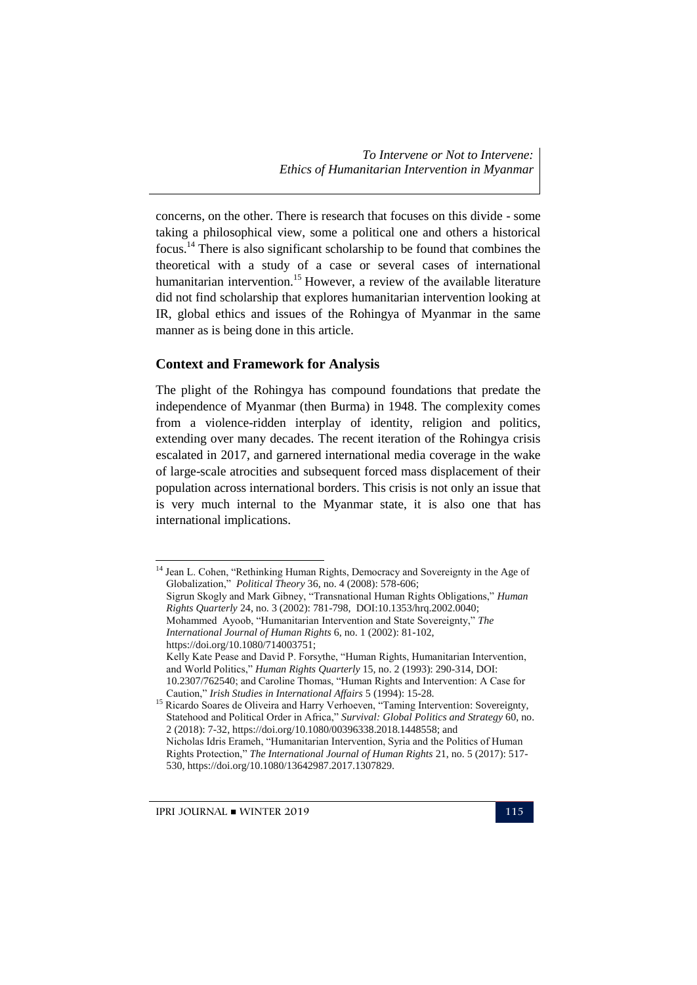concerns, on the other. There is research that focuses on this divide - some taking a philosophical view, some a political one and others a historical focus.<sup>14</sup> There is also significant scholarship to be found that combines the theoretical with a study of a case or several cases of international humanitarian intervention.<sup>15</sup> However, a review of the available literature did not find scholarship that explores humanitarian intervention looking at IR, global ethics and issues of the Rohingya of Myanmar in the same manner as is being done in this article.

#### **Context and Framework for Analysis**

The plight of the Rohingya has compound foundations that predate the independence of Myanmar (then Burma) in 1948. The complexity comes from a violence-ridden interplay of identity, religion and politics, extending over many decades. The recent iteration of the Rohingya crisis escalated in 2017, and garnered international media coverage in the wake of large-scale atrocities and subsequent forced mass displacement of their population across international borders. This crisis is not only an issue that is very much internal to the Myanmar state, it is also one that has international implications.

<u>.</u>

<sup>&</sup>lt;sup>14</sup> Jean L. Cohen, "Rethinking Human Rights, Democracy and Sovereignty in the Age of Globalization," *Political Theory* 36, no. 4 (2008): 578-606; Sigrun Skogly and Mark Gibney, "Transnational Human Rights Obligations," *Human Rights Quarterly* 24, no. 3 (2002): 781-798, DOI:10.1353/hrq.2002.0040; Mohammed Ayoob, "Humanitarian Intervention and State Sovereignty," *The International Journal of Human Rights* 6, no. 1 (2002): 81-102, https://doi.org/10.1080/714003751; Kelly Kate Pease and David P. Forsythe, "Human Rights, Humanitarian Intervention, and World Politics," *Human Rights Quarterly* 15, no. 2 (1993): 290-314, DOI: 10.2307/762540; and Caroline Thomas, "Human Rights and Intervention: A Case for Caution," *Irish Studies in International Affairs* 5 (1994): 15-28. <sup>15</sup> Ricardo Soares de Oliveira and Harry Verhoeven, "Taming Intervention: Sovereignty, Statehood and Political Order in Africa," *Survival: Global Politics and Strategy* 60, no. 2 (2018): 7-32, https://doi.org/10.1080/00396338.2018.1448558; and

Nicholas Idris Erameh, "Humanitarian Intervention, Syria and the Politics of Human Rights Protection," *The International Journal of Human Rights* 21, no. 5 (2017): 517- 530, https://doi.org/10.1080/13642987.2017.1307829.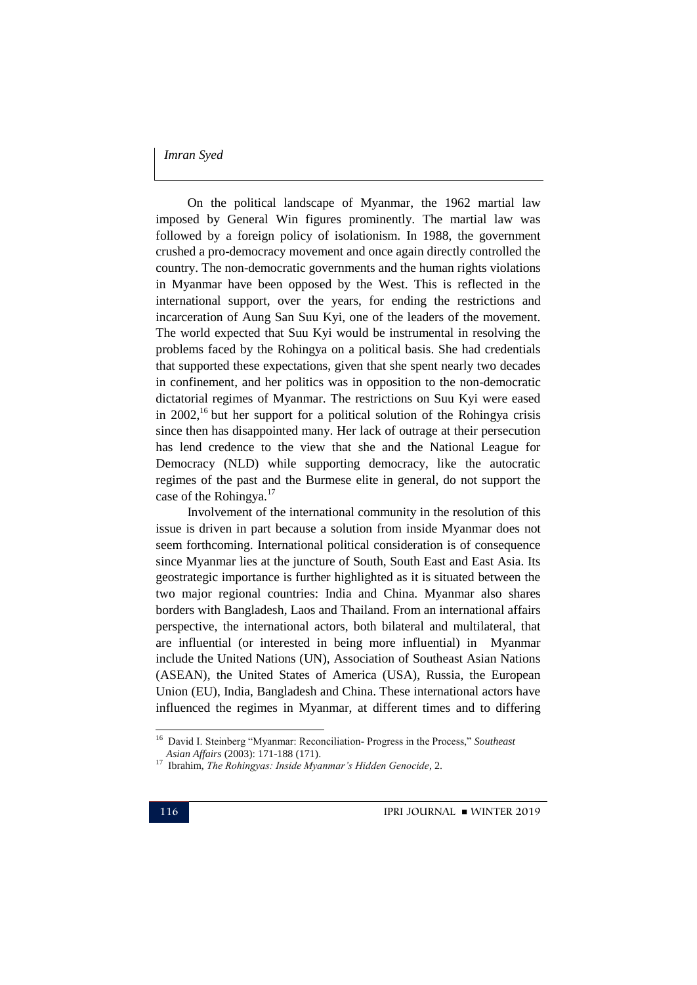On the political landscape of Myanmar, the 1962 martial law imposed by General Win figures prominently. The martial law was followed by a foreign policy of isolationism. In 1988, the government crushed a pro-democracy movement and once again directly controlled the country. The non-democratic governments and the human rights violations in Myanmar have been opposed by the West. This is reflected in the international support, over the years, for ending the restrictions and incarceration of Aung San Suu Kyi, one of the leaders of the movement. The world expected that Suu Kyi would be instrumental in resolving the problems faced by the Rohingya on a political basis. She had credentials that supported these expectations, given that she spent nearly two decades in confinement, and her politics was in opposition to the non-democratic dictatorial regimes of Myanmar. The restrictions on Suu Kyi were eased in 2002,<sup>16</sup> but her support for a political solution of the Rohingya crisis since then has disappointed many. Her lack of outrage at their persecution has lend credence to the view that she and the National League for Democracy (NLD) while supporting democracy, like the autocratic regimes of the past and the Burmese elite in general, do not support the case of the Rohingya.<sup>17</sup>

Involvement of the international community in the resolution of this issue is driven in part because a solution from inside Myanmar does not seem forthcoming. International political consideration is of consequence since Myanmar lies at the juncture of South, South East and East Asia. Its geostrategic importance is further highlighted as it is situated between the two major regional countries: India and China. Myanmar also shares borders with Bangladesh, Laos and Thailand. From an international affairs perspective, the international actors, both bilateral and multilateral, that are influential (or interested in being more influential) in Myanmar include the United Nations (UN), Association of Southeast Asian Nations (ASEAN), the United States of America (USA), Russia, the European Union (EU), India, Bangladesh and China. These international actors have influenced the regimes in Myanmar, at different times and to differing

 16 David I. Steinberg "Myanmar: Reconciliation- Progress in the Process," *Southeast Asian Affairs* (2003): 171-188 (171).

<sup>17</sup> Ibrahim, *The Rohingyas: Inside Myanmar's Hidden Genocide*, 2.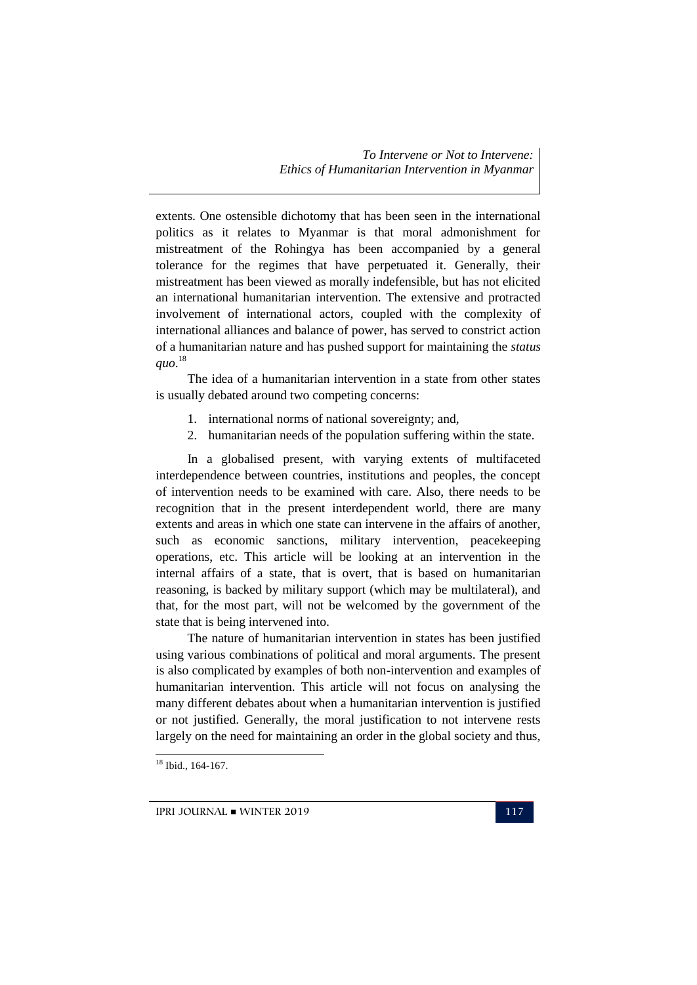extents. One ostensible dichotomy that has been seen in the international politics as it relates to Myanmar is that moral admonishment for mistreatment of the Rohingya has been accompanied by a general tolerance for the regimes that have perpetuated it. Generally, their mistreatment has been viewed as morally indefensible, but has not elicited an international humanitarian intervention. The extensive and protracted involvement of international actors, coupled with the complexity of international alliances and balance of power, has served to constrict action of a humanitarian nature and has pushed support for maintaining the *status quo*. 18

The idea of a humanitarian intervention in a state from other states is usually debated around two competing concerns:

- 1. international norms of national sovereignty; and,
- 2. humanitarian needs of the population suffering within the state.

In a globalised present, with varying extents of multifaceted interdependence between countries, institutions and peoples, the concept of intervention needs to be examined with care. Also, there needs to be recognition that in the present interdependent world, there are many extents and areas in which one state can intervene in the affairs of another, such as economic sanctions, military intervention, peacekeeping operations, etc. This article will be looking at an intervention in the internal affairs of a state, that is overt, that is based on humanitarian reasoning, is backed by military support (which may be multilateral), and that, for the most part, will not be welcomed by the government of the state that is being intervened into.

The nature of humanitarian intervention in states has been justified using various combinations of political and moral arguments. The present is also complicated by examples of both non-intervention and examples of humanitarian intervention. This article will not focus on analysing the many different debates about when a humanitarian intervention is justified or not justified. Generally, the moral justification to not intervene rests largely on the need for maintaining an order in the global society and thus,

<sup>18</sup> Ibid., 164-167.

-

IPRI JOURNAL WINTER 2019 117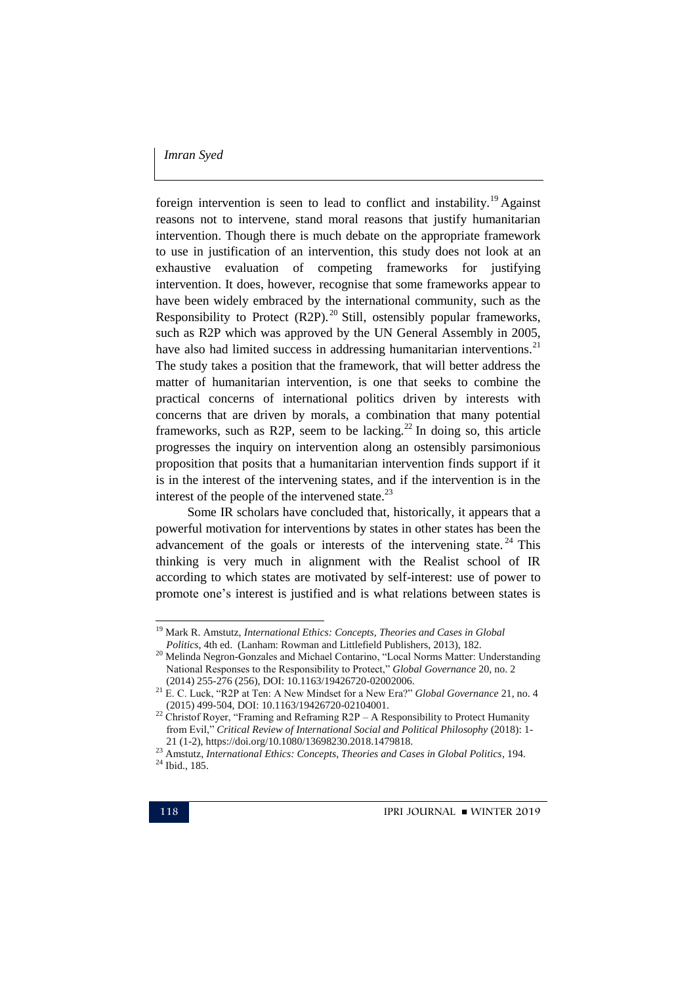foreign intervention is seen to lead to conflict and instability.<sup>19</sup> Against reasons not to intervene, stand moral reasons that justify humanitarian intervention. Though there is much debate on the appropriate framework to use in justification of an intervention, this study does not look at an exhaustive evaluation of competing frameworks for justifying intervention. It does, however, recognise that some frameworks appear to have been widely embraced by the international community, such as the Responsibility to Protect  $(R2P)$ .<sup>20</sup> Still, ostensibly popular frameworks, such as R2P which was approved by the UN General Assembly in 2005, have also had limited success in addressing humanitarian interventions.<sup>21</sup> The study takes a position that the framework, that will better address the matter of humanitarian intervention, is one that seeks to combine the practical concerns of international politics driven by interests with concerns that are driven by morals, a combination that many potential frameworks, such as R2P, seem to be lacking.<sup>22</sup> In doing so, this article progresses the inquiry on intervention along an ostensibly parsimonious proposition that posits that a humanitarian intervention finds support if it is in the interest of the intervening states, and if the intervention is in the interest of the people of the intervened state. $^{23}$ 

Some IR scholars have concluded that, historically, it appears that a powerful motivation for interventions by states in other states has been the advancement of the goals or interests of the intervening state.  $24$  This thinking is very much in alignment with the Realist school of IR according to which states are motivated by self-interest: use of power to promote one"s interest is justified and is what relations between states is

<u>.</u>

<sup>19</sup> Mark R. Amstutz, *International Ethics: Concepts, Theories and Cases in Global Politics*, 4th ed. (Lanham: Rowman and Littlefield Publishers, 2013), 182.

<sup>&</sup>lt;sup>20</sup> Melinda Negron-Gonzales and Michael Contarino, "Local Norms Matter: Understanding National Responses to the Responsibility to Protect," *Global Governance* 20, no. 2 (2014) 255-276 (256), DOI: 10.1163/19426720-02002006.

<sup>21</sup> E. C. Luck, "R2P at Ten: A New Mindset for a New Era?" *Global Governance* 21, no. 4 (2015) 499-504, DOI: 10.1163/19426720-02104001.

<sup>&</sup>lt;sup>22</sup> Christof Royer, "Framing and Reframing R2P – A Responsibility to Protect Humanity from Evil," *Critical Review of International Social and Political Philosophy* (2018): 1- 21 (1-2), https://doi.org/10.1080/13698230.2018.1479818.

<sup>23</sup> Amstutz, *International Ethics: Concepts, Theories and Cases in Global Politics*, 194. <sup>24</sup> Ibid., 185.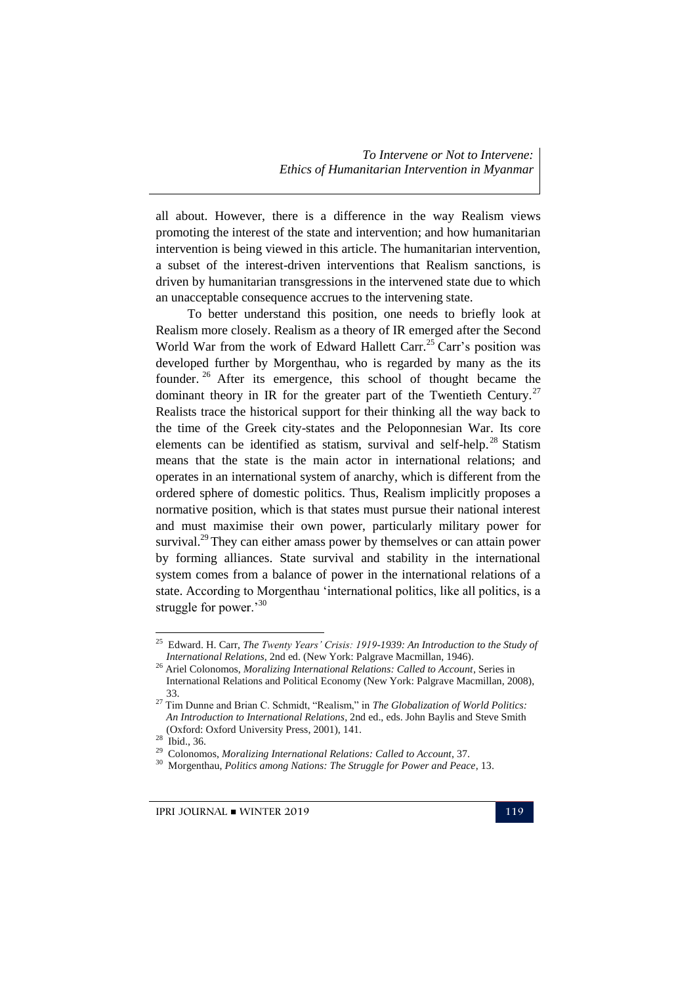all about. However, there is a difference in the way Realism views promoting the interest of the state and intervention; and how humanitarian intervention is being viewed in this article. The humanitarian intervention, a subset of the interest-driven interventions that Realism sanctions, is driven by humanitarian transgressions in the intervened state due to which an unacceptable consequence accrues to the intervening state.

To better understand this position, one needs to briefly look at Realism more closely. Realism as a theory of IR emerged after the Second World War from the work of Edward Hallett Carr.<sup>25</sup> Carr's position was developed further by Morgenthau, who is regarded by many as the its founder. <sup>26</sup> After its emergence, this school of thought became the dominant theory in IR for the greater part of the Twentieth Century.<sup>27</sup> Realists trace the historical support for their thinking all the way back to the time of the Greek city-states and the Peloponnesian War. Its core elements can be identified as statism, survival and self-help.<sup>28</sup> Statism means that the state is the main actor in international relations; and operates in an international system of anarchy, which is different from the ordered sphere of domestic politics. Thus, Realism implicitly proposes a normative position, which is that states must pursue their national interest and must maximise their own power, particularly military power for survival.<sup>29</sup> They can either amass power by themselves or can attain power by forming alliances. State survival and stability in the international system comes from a balance of power in the international relations of a state. According to Morgenthau "international politics, like all politics, is a struggle for power.<sup>30</sup>

 25 Edward. H. Carr, *The Twenty Years' Crisis: 1919-1939: An Introduction to the Study of International Relations*, 2nd ed. (New York: Palgrave Macmillan, 1946).

<sup>26</sup> Ariel Colonomos, *Moralizing International Relations: Called to Account*, Series in International Relations and Political Economy (New York: Palgrave Macmillan, 2008), 33.

<sup>27</sup> Tim Dunne and Brian C. Schmidt, "Realism," in *The Globalization of World Politics: An Introduction to International Relations*, 2nd ed., eds. John Baylis and Steve Smith (Oxford: Oxford University Press, 2001), 141.

<sup>28</sup> Ibid., 36.

<sup>29</sup> Colonomos, *Moralizing International Relations: Called to Account*, 37.

<sup>30</sup> Morgenthau, *Politics among Nations: The Struggle for Power and Peace*, 13.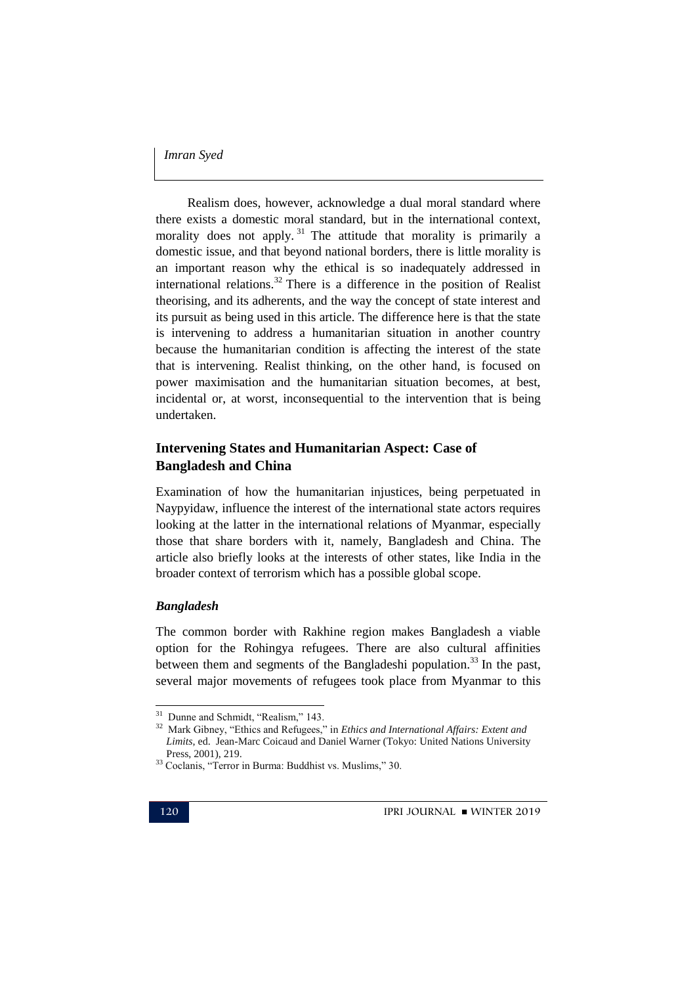Realism does, however, acknowledge a dual moral standard where there exists a domestic moral standard, but in the international context, morality does not apply.<sup>31</sup> The attitude that morality is primarily a domestic issue, and that beyond national borders, there is little morality is an important reason why the ethical is so inadequately addressed in international relations.<sup>32</sup> There is a difference in the position of Realist theorising, and its adherents, and the way the concept of state interest and its pursuit as being used in this article. The difference here is that the state is intervening to address a humanitarian situation in another country because the humanitarian condition is affecting the interest of the state that is intervening. Realist thinking, on the other hand, is focused on power maximisation and the humanitarian situation becomes, at best, incidental or, at worst, inconsequential to the intervention that is being undertaken.

### **Intervening States and Humanitarian Aspect: Case of Bangladesh and China**

Examination of how the humanitarian injustices, being perpetuated in Naypyidaw, influence the interest of the international state actors requires looking at the latter in the international relations of Myanmar, especially those that share borders with it, namely, Bangladesh and China. The article also briefly looks at the interests of other states, like India in the broader context of terrorism which has a possible global scope.

#### *Bangladesh*

The common border with Rakhine region makes Bangladesh a viable option for the Rohingya refugees. There are also cultural affinities between them and segments of the Bangladeshi population.<sup>33</sup> In the past, several major movements of refugees took place from Myanmar to this

<sup>&</sup>lt;sup>31</sup> Dunne and Schmidt, "Realism," 143.

<sup>32</sup> Mark Gibney, "Ethics and Refugees," in *Ethics and International Affairs: Extent and Limits*, ed. Jean-Marc Coicaud and Daniel Warner (Tokyo: United Nations University Press, 2001), 219.

<sup>33</sup> Coclanis, "Terror in Burma: Buddhist vs. Muslims," 30.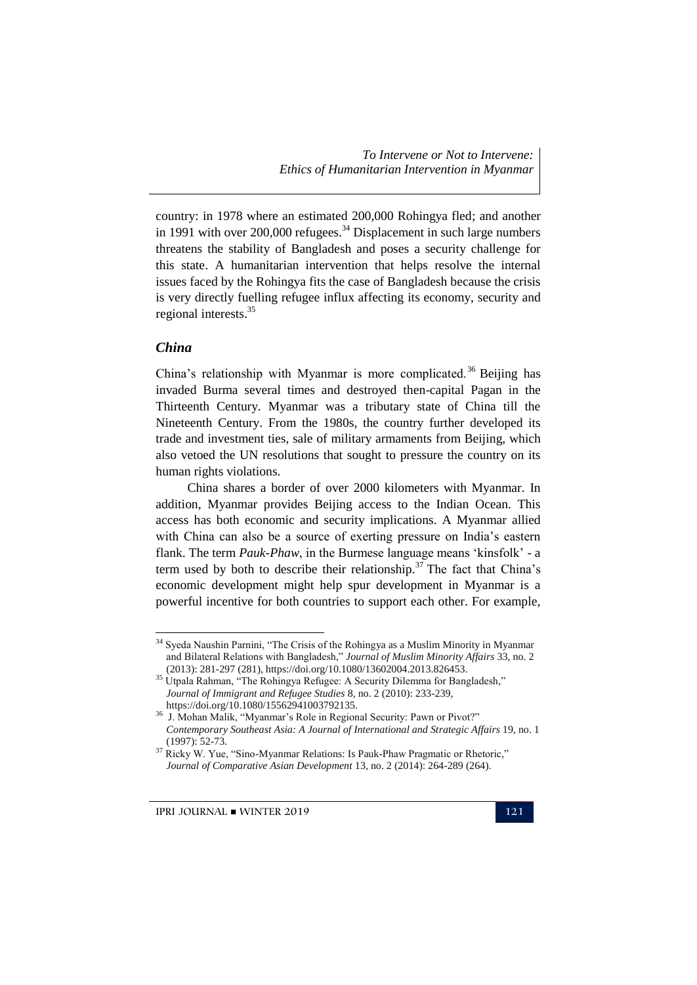country: in 1978 where an estimated 200,000 Rohingya fled; and another in 1991 with over  $200,000$  refugees.<sup>34</sup> Displacement in such large numbers threatens the stability of Bangladesh and poses a security challenge for this state. A humanitarian intervention that helps resolve the internal issues faced by the Rohingya fits the case of Bangladesh because the crisis is very directly fuelling refugee influx affecting its economy, security and regional interests.<sup>35</sup>

#### *China*

-

China's relationship with Myanmar is more complicated.<sup>36</sup> Beijing has invaded Burma several times and destroyed then-capital Pagan in the Thirteenth Century. Myanmar was a tributary state of China till the Nineteenth Century. From the 1980s, the country further developed its trade and investment ties, sale of military armaments from Beijing, which also vetoed the UN resolutions that sought to pressure the country on its human rights violations.

China shares a border of over 2000 kilometers with Myanmar. In addition, Myanmar provides Beijing access to the Indian Ocean. This access has both economic and security implications. A Myanmar allied with China can also be a source of exerting pressure on India's eastern flank. The term *Pauk-Phaw*, in the Burmese language means "kinsfolk" - a term used by both to describe their relationship.<sup>37</sup> The fact that China's economic development might help spur development in Myanmar is a powerful incentive for both countries to support each other. For example,

<sup>&</sup>lt;sup>34</sup> Syeda Naushin Parnini, "The Crisis of the Rohingya as a Muslim Minority in Myanmar and Bilateral Relations with Bangladesh," *Journal of Muslim Minority Affairs* 33, no. 2 (2013): 281-297 (281), https://doi.org/10.1080/13602004.2013.826453.

<sup>&</sup>lt;sup>35</sup> Utpala Rahman, "The Rohingya Refugee: A Security Dilemma for Bangladesh," *Journal of Immigrant and Refugee Studies* 8, no. 2 (2010): 233-239, https://doi.org/10.1080/15562941003792135.

<sup>&</sup>lt;sup>36</sup> J. Mohan Malik, "Myanmar's Role in Regional Security: Pawn or Pivot?" *Contemporary Southeast Asia: A Journal of International and Strategic Affairs* 19, no. 1 (1997): 52-73.

<sup>&</sup>lt;sup>37</sup> Ricky W. Yue, "Sino-Myanmar Relations: Is Pauk-Phaw Pragmatic or Rhetoric," *Journal of Comparative Asian Development* 13, no. 2 (2014): 264-289 (264).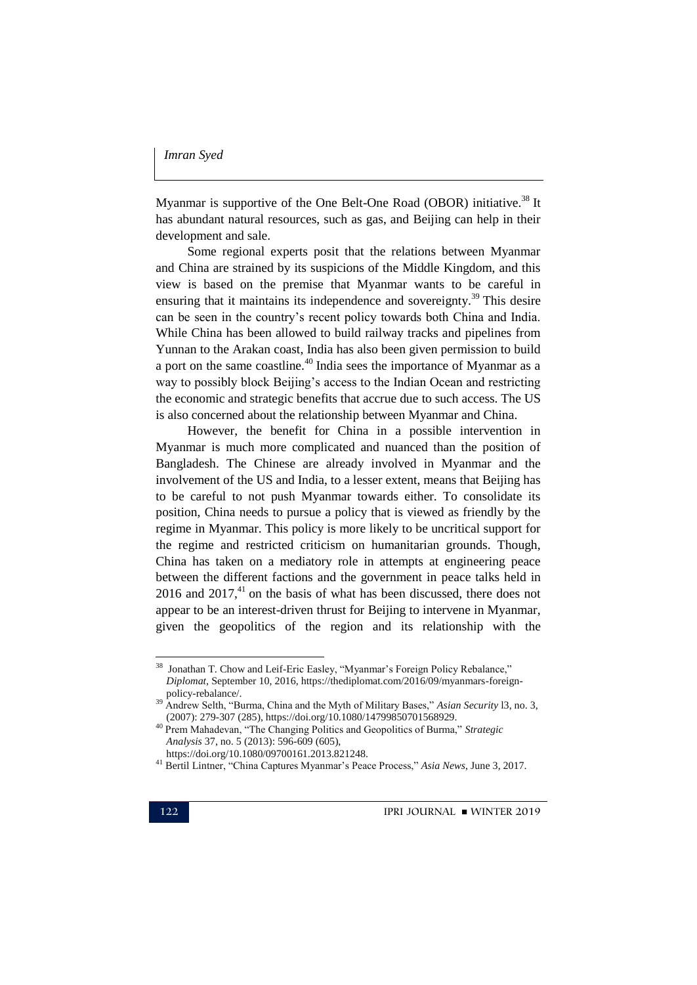Myanmar is supportive of the One Belt-One Road (OBOR) initiative.<sup>38</sup> It has abundant natural resources, such as gas, and Beijing can help in their development and sale.

Some regional experts posit that the relations between Myanmar and China are strained by its suspicions of the Middle Kingdom, and this view is based on the premise that Myanmar wants to be careful in ensuring that it maintains its independence and sovereignty.<sup>39</sup> This desire can be seen in the country"s recent policy towards both China and India. While China has been allowed to build railway tracks and pipelines from Yunnan to the Arakan coast, India has also been given permission to build a port on the same coastline.<sup>40</sup> India sees the importance of Myanmar as a way to possibly block Beijing's access to the Indian Ocean and restricting the economic and strategic benefits that accrue due to such access. The US is also concerned about the relationship between Myanmar and China.

However, the benefit for China in a possible intervention in Myanmar is much more complicated and nuanced than the position of Bangladesh. The Chinese are already involved in Myanmar and the involvement of the US and India, to a lesser extent, means that Beijing has to be careful to not push Myanmar towards either. To consolidate its position, China needs to pursue a policy that is viewed as friendly by the regime in Myanmar. This policy is more likely to be uncritical support for the regime and restricted criticism on humanitarian grounds. Though, China has taken on a mediatory role in attempts at engineering peace between the different factions and the government in peace talks held in  $2016$  and  $2017<sup>41</sup>$  on the basis of what has been discussed, there does not appear to be an interest-driven thrust for Beijing to intervene in Myanmar, given the geopolitics of the region and its relationship with the

<sup>&</sup>lt;sup>38</sup> Jonathan T. Chow and Leif-Eric Easley, "Myanmar's Foreign Policy Rebalance," *Diplomat*, September 10, 2016, https://thediplomat.com/2016/09/myanmars-foreignpolicy-rebalance/.

<sup>39</sup> Andrew Selth, "Burma, China and the Myth of Military Bases," *Asian Security* l3, no. 3, (2007): 279-307 (285), https://doi.org/10.1080/14799850701568929.

<sup>40</sup> Prem Mahadevan, "The Changing Politics and Geopolitics of Burma," *Strategic Analysis* 37, no. 5 (2013): 596-609 (605),

https://doi.org/10.1080/09700161.2013.821248.

<sup>41</sup> Bertil Lintner, "China Captures Myanmar"s Peace Process," *Asia News*, June 3, 2017.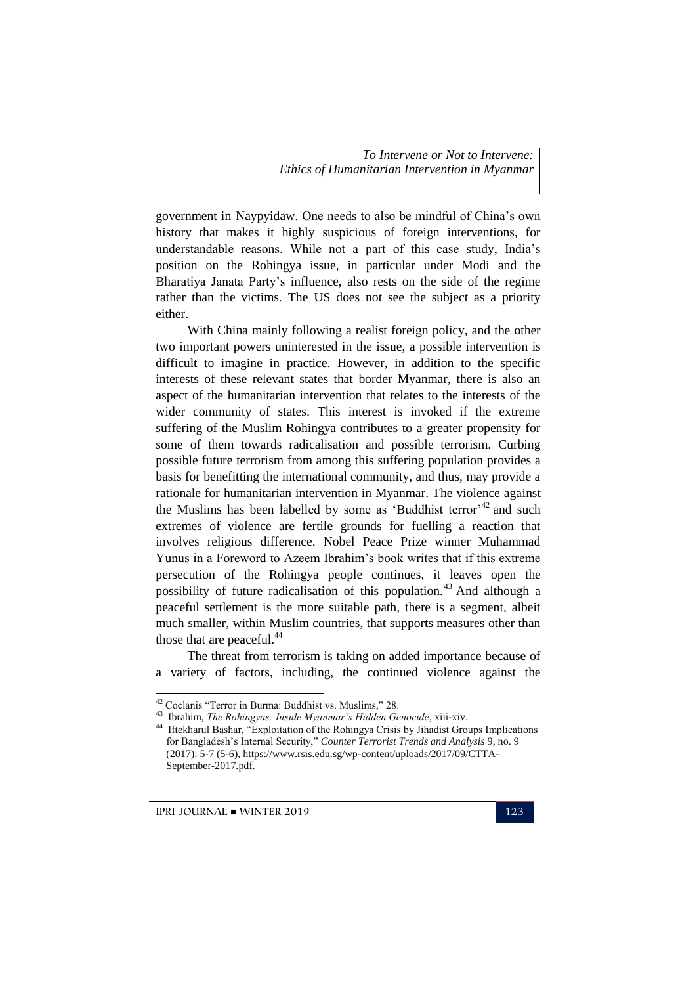government in Naypyidaw. One needs to also be mindful of China"s own history that makes it highly suspicious of foreign interventions, for understandable reasons. While not a part of this case study, India"s position on the Rohingya issue, in particular under Modi and the Bharatiya Janata Party"s influence, also rests on the side of the regime rather than the victims. The US does not see the subject as a priority either.

With China mainly following a realist foreign policy, and the other two important powers uninterested in the issue, a possible intervention is difficult to imagine in practice. However, in addition to the specific interests of these relevant states that border Myanmar, there is also an aspect of the humanitarian intervention that relates to the interests of the wider community of states. This interest is invoked if the extreme suffering of the Muslim Rohingya contributes to a greater propensity for some of them towards radicalisation and possible terrorism. Curbing possible future terrorism from among this suffering population provides a basis for benefitting the international community, and thus, may provide a rationale for humanitarian intervention in Myanmar. The violence against the Muslims has been labelled by some as 'Buddhist terror'<sup>42</sup> and such extremes of violence are fertile grounds for fuelling a reaction that involves religious difference. Nobel Peace Prize winner Muhammad Yunus in a Foreword to Azeem Ibrahim"s book writes that if this extreme persecution of the Rohingya people continues, it leaves open the possibility of future radicalisation of this population.<sup>43</sup> And although a peaceful settlement is the more suitable path, there is a segment, albeit much smaller, within Muslim countries, that supports measures other than those that are peaceful.<sup>44</sup>

The threat from terrorism is taking on added importance because of a variety of factors, including, the continued violence against the

 $IPRI JOURNAL = WINTER 2019$  123

<u>.</u>

<sup>42</sup> Coclanis "Terror in Burma: Buddhist vs. Muslims," 28.

<sup>&</sup>lt;sup>43</sup> Ibrahim, *The Rohingyas: Inside Myanmar's Hidden Genocide*, xiii-xiv.<br><sup>44</sup> Iffekberul Becher, "Exploitation of the Behingye Crisis by Libedist Gro

Iftekharul Bashar, "Exploitation of the Rohingya Crisis by Jihadist Groups Implications for Bangladesh"s Internal Security," *Counter Terrorist Trends and Analysis* 9, no. 9 (2017): 5-7 (5-6), https://www.rsis.edu.sg/wp-content/uploads/2017/09/CTTA-September-2017.pdf.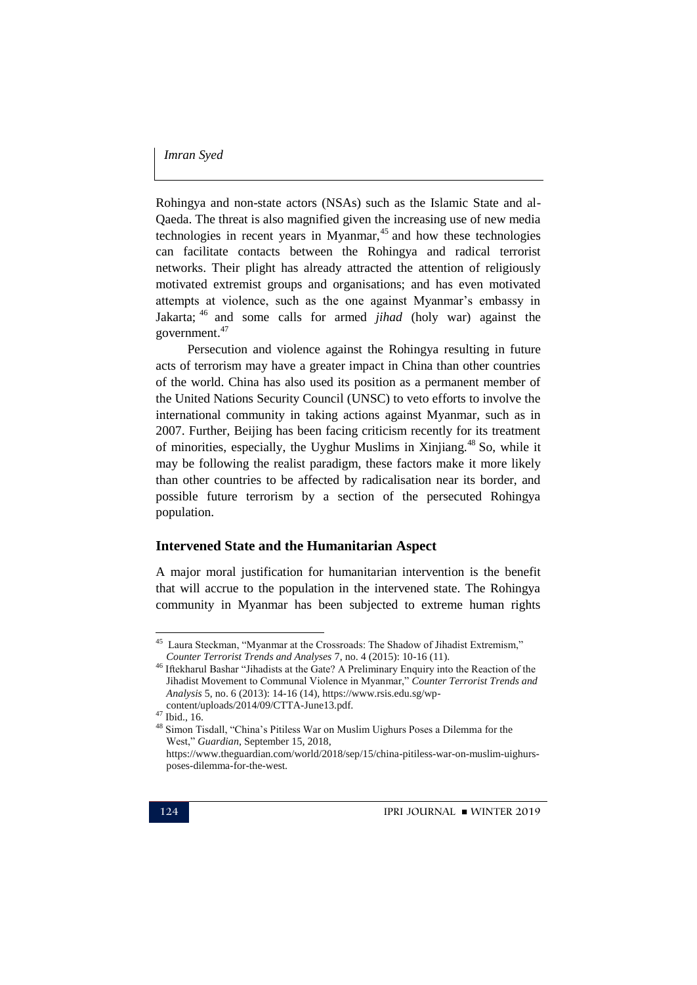Rohingya and non-state actors (NSAs) such as the Islamic State and al-Qaeda. The threat is also magnified given the increasing use of new media technologies in recent years in Myanmar, $45$  and how these technologies can facilitate contacts between the Rohingya and radical terrorist networks. Their plight has already attracted the attention of religiously motivated extremist groups and organisations; and has even motivated attempts at violence, such as the one against Myanmar's embassy in Jakarta; <sup>46</sup> and some calls for armed *jihad* (holy war) against the government. 47

Persecution and violence against the Rohingya resulting in future acts of terrorism may have a greater impact in China than other countries of the world. China has also used its position as a permanent member of the United Nations Security Council (UNSC) to veto efforts to involve the international community in taking actions against Myanmar, such as in 2007. Further, Beijing has been facing criticism recently for its treatment of minorities, especially, the Uyghur Muslims in Xinjiang.<sup>48</sup> So, while it may be following the realist paradigm, these factors make it more likely than other countries to be affected by radicalisation near its border, and possible future terrorism by a section of the persecuted Rohingya population.

#### **Intervened State and the Humanitarian Aspect**

A major moral justification for humanitarian intervention is the benefit that will accrue to the population in the intervened state. The Rohingya community in Myanmar has been subjected to extreme human rights

 45 Laura Steckman, "Myanmar at the Crossroads: The Shadow of Jihadist Extremism," *Counter Terrorist Trends and Analyses* 7, no. 4 (2015): 10-16 (11).

<sup>46</sup> Iftekharul Bashar "Jihadists at the Gate? A Preliminary Enquiry into the Reaction of the Jihadist Movement to Communal Violence in Myanmar," *Counter Terrorist Trends and Analysis* 5, no. 6 (2013): 14-16 (14), https://www.rsis.edu.sg/wpcontent/uploads/2014/09/CTTA-June13.pdf.

<sup>47</sup> Ibid., 16.

<sup>&</sup>lt;sup>48</sup> Simon Tisdall, "China's Pitiless War on Muslim Uighurs Poses a Dilemma for the West," *Guardian*, September 15, 2018,

https://www.theguardian.com/world/2018/sep/15/china-pitiless-war-on-muslim-uighursposes-dilemma-for-the-west.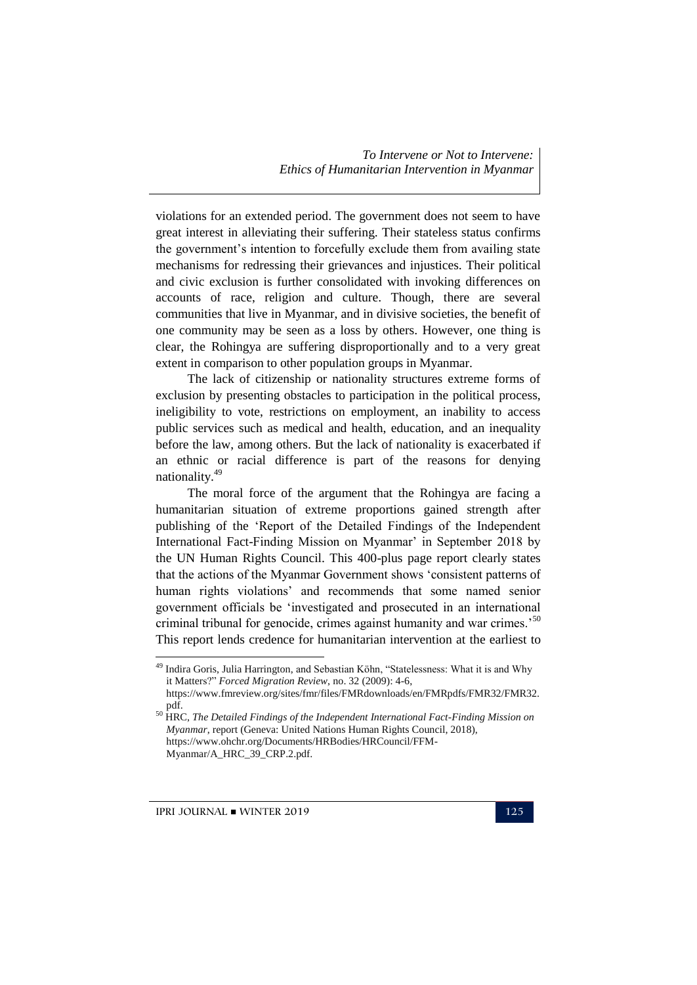violations for an extended period. The government does not seem to have great interest in alleviating their suffering. Their stateless status confirms the government's intention to forcefully exclude them from availing state mechanisms for redressing their grievances and injustices. Their political and civic exclusion is further consolidated with invoking differences on accounts of race, religion and culture. Though, there are several communities that live in Myanmar, and in divisive societies, the benefit of one community may be seen as a loss by others. However, one thing is clear, the Rohingya are suffering disproportionally and to a very great extent in comparison to other population groups in Myanmar.

The lack of citizenship or nationality structures extreme forms of exclusion by presenting obstacles to participation in the political process, ineligibility to vote, restrictions on employment, an inability to access public services such as medical and health, education, and an inequality before the law, among others. But the lack of nationality is exacerbated if an ethnic or racial difference is part of the reasons for denying nationality.<sup>49</sup>

The moral force of the argument that the Rohingya are facing a humanitarian situation of extreme proportions gained strength after publishing of the "Report of the Detailed Findings of the Independent International Fact-Finding Mission on Myanmar' in September 2018 by the UN Human Rights Council. This 400-plus page report clearly states that the actions of the Myanmar Government shows "consistent patterns of human rights violations' and recommends that some named senior government officials be "investigated and prosecuted in an international criminal tribunal for genocide, crimes against humanity and war crimes.<sup>50</sup> This report lends credence for humanitarian intervention at the earliest to

IPRI JOURNAL WINTER 2019 125

<sup>&</sup>lt;sup>49</sup> Indira Goris, Julia Harrington, and Sebastian Köhn, "Statelessness: What it is and Why it Matters?" *Forced Migration Review*, no. 32 (2009): 4-6,

https://www.fmreview.org/sites/fmr/files/FMRdownloads/en/FMRpdfs/FMR32/FMR32. pdf.

<sup>50</sup> HRC, *The Detailed Findings of the Independent International Fact-Finding Mission on Myanmar*, report (Geneva: United Nations Human Rights Council, 2018), https://www.ohchr.org/Documents/HRBodies/HRCouncil/FFM-Myanmar/A\_HRC\_39\_CRP.2.pdf.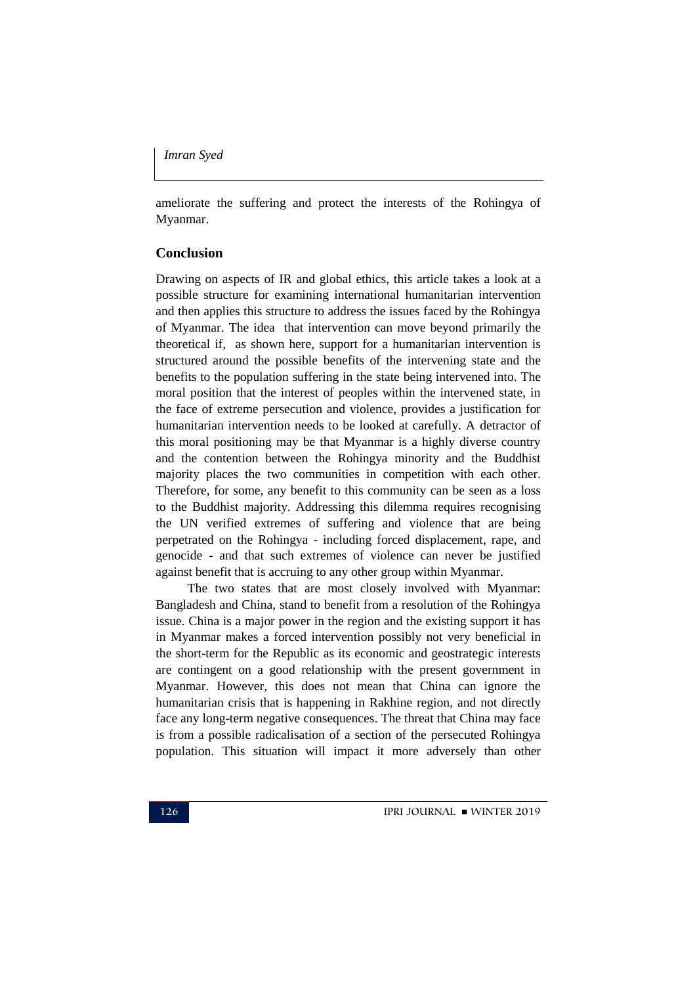ameliorate the suffering and protect the interests of the Rohingya of Myanmar.

#### **Conclusion**

Drawing on aspects of IR and global ethics, this article takes a look at a possible structure for examining international humanitarian intervention and then applies this structure to address the issues faced by the Rohingya of Myanmar. The idea that intervention can move beyond primarily the theoretical if, as shown here, support for a humanitarian intervention is structured around the possible benefits of the intervening state and the benefits to the population suffering in the state being intervened into. The moral position that the interest of peoples within the intervened state, in the face of extreme persecution and violence, provides a justification for humanitarian intervention needs to be looked at carefully. A detractor of this moral positioning may be that Myanmar is a highly diverse country and the contention between the Rohingya minority and the Buddhist majority places the two communities in competition with each other. Therefore, for some, any benefit to this community can be seen as a loss to the Buddhist majority. Addressing this dilemma requires recognising the UN verified extremes of suffering and violence that are being perpetrated on the Rohingya - including forced displacement, rape, and genocide - and that such extremes of violence can never be justified against benefit that is accruing to any other group within Myanmar.

The two states that are most closely involved with Myanmar: Bangladesh and China, stand to benefit from a resolution of the Rohingya issue. China is a major power in the region and the existing support it has in Myanmar makes a forced intervention possibly not very beneficial in the short-term for the Republic as its economic and geostrategic interests are contingent on a good relationship with the present government in Myanmar. However, this does not mean that China can ignore the humanitarian crisis that is happening in Rakhine region, and not directly face any long-term negative consequences. The threat that China may face is from a possible radicalisation of a section of the persecuted Rohingya population. This situation will impact it more adversely than other